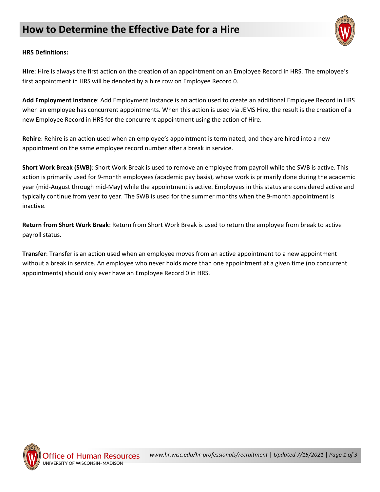

## **HRS Definitions:**

**Hire**: Hire is always the first action on the creation of an appointment on an Employee Record in HRS. The employee's first appointment in HRS will be denoted by a hire row on Employee Record 0.

**Add Employment Instance**: Add Employment Instance is an action used to create an additional Employee Record in HRS when an employee has concurrent appointments. When this action is used via JEMS Hire, the result is the creation of a new Employee Record in HRS for the concurrent appointment using the action of Hire.

**Rehire**: Rehire is an action used when an employee's appointment is terminated, and they are hired into a new appointment on the same employee record number after a break in service.

**Short Work Break (SWB)**: Short Work Break is used to remove an employee from payroll while the SWB is active. This action is primarily used for 9-month employees (academic pay basis), whose work is primarily done during the academic year (mid-August through mid-May) while the appointment is active. Employees in this status are considered active and typically continue from year to year. The SWB is used for the summer months when the 9-month appointment is inactive.

**Return from Short Work Break**: Return from Short Work Break is used to return the employee from break to active payroll status.

**Transfer**: Transfer is an action used when an employee moves from an active appointment to a new appointment without a break in service. An employee who never holds more than one appointment at a given time (no concurrent appointments) should only ever have an Employee Record 0 in HRS.

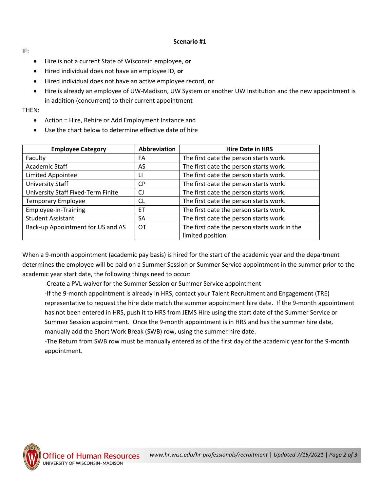## **Scenario #1**

IF:

- Hire is not a current State of Wisconsin employee, **or**
- Hired individual does not have an employee ID, **or**
- Hired individual does not have an active employee record, **or**
- Hire is already an employee of UW-Madison, UW System or another UW Institution and the new appointment is in addition (concurrent) to their current appointment

THEN:

- Action = Hire, Rehire or Add Employment Instance and
- Use the chart below to determine effective date of hire

| <b>Employee Category</b>                  | Abbreviation | <b>Hire Date in HRS</b>                      |
|-------------------------------------------|--------------|----------------------------------------------|
| Faculty                                   | FA           | The first date the person starts work.       |
| Academic Staff                            | AS.          | The first date the person starts work.       |
| <b>Limited Appointee</b>                  | П            | The first date the person starts work.       |
| University Staff                          | CP.          | The first date the person starts work.       |
| <b>University Staff Fixed-Term Finite</b> | CJ           | The first date the person starts work.       |
| <b>Temporary Employee</b>                 | CL           | The first date the person starts work.       |
| Employee-in-Training                      | ET           | The first date the person starts work.       |
| <b>Student Assistant</b>                  | SA           | The first date the person starts work.       |
| Back-up Appointment for US and AS         | ОT           | The first date the person starts work in the |
|                                           |              | limited position.                            |

When a 9-month appointment (academic pay basis) is hired for the start of the academic year and the department determines the employee will be paid on a Summer Session or Summer Service appointment in the summer prior to the academic year start date, the following things need to occur:

-Create a PVL waiver for the Summer Session or Summer Service appointment

-If the 9-month appointment is already in HRS, contact your Talent Recruitment and Engagement (TRE) representative to request the hire date match the summer appointment hire date. If the 9-month appointment has not been entered in HRS, push it to HRS from JEMS Hire using the start date of the Summer Service or Summer Session appointment. Once the 9-month appointment is in HRS and has the summer hire date, manually add the Short Work Break (SWB) row, using the summer hire date.

-The Return from SWB row must be manually entered as of the first day of the academic year for the 9-month appointment.